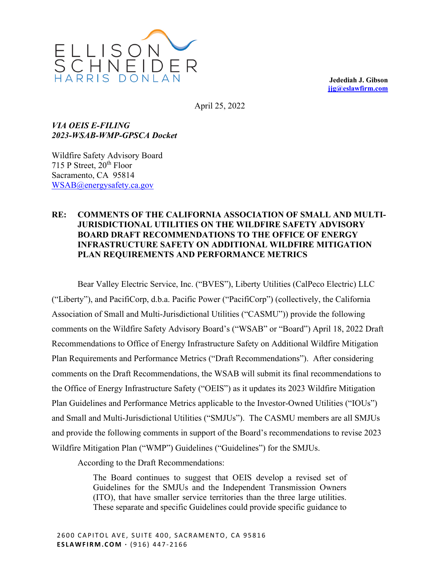

**Jedediah J. Gibson jjg@eslawfirm.com** 

April 25, 2022

*VIA OEIS E-FILING 2023-WSAB-WMP-GPSCA Docket* 

Wildfire Safety Advisory Board 715 P Street,  $20^{th}$  Floor Sacramento, CA 95814 WSAB@energysafety.ca.gov

## **RE: COMMENTS OF THE CALIFORNIA ASSOCIATION OF SMALL AND MULTI-JURISDICTIONAL UTILITIES ON THE WILDFIRE SAFETY ADVISORY BOARD DRAFT RECOMMENDATIONS TO THE OFFICE OF ENERGY INFRASTRUCTURE SAFETY ON ADDITIONAL WILDFIRE MITIGATION PLAN REQUIREMENTS AND PERFORMANCE METRICS**

Bear Valley Electric Service, Inc. ("BVES"), Liberty Utilities (CalPeco Electric) LLC ("Liberty"), and PacifiCorp, d.b.a. Pacific Power ("PacifiCorp") (collectively, the California Association of Small and Multi-Jurisdictional Utilities ("CASMU")) provide the following comments on the Wildfire Safety Advisory Board's ("WSAB" or "Board") April 18, 2022 Draft Recommendations to Office of Energy Infrastructure Safety on Additional Wildfire Mitigation Plan Requirements and Performance Metrics ("Draft Recommendations"). After considering comments on the Draft Recommendations, the WSAB will submit its final recommendations to the Office of Energy Infrastructure Safety ("OEIS") as it updates its 2023 Wildfire Mitigation Plan Guidelines and Performance Metrics applicable to the Investor-Owned Utilities ("IOUs") and Small and Multi-Jurisdictional Utilities ("SMJUs"). The CASMU members are all SMJUs and provide the following comments in support of the Board's recommendations to revise 2023 Wildfire Mitigation Plan ("WMP") Guidelines ("Guidelines") for the SMJUs.

According to the Draft Recommendations:

The Board continues to suggest that OEIS develop a revised set of Guidelines for the SMJUs and the Independent Transmission Owners (ITO), that have smaller service territories than the three large utilities. These separate and specific Guidelines could provide specific guidance to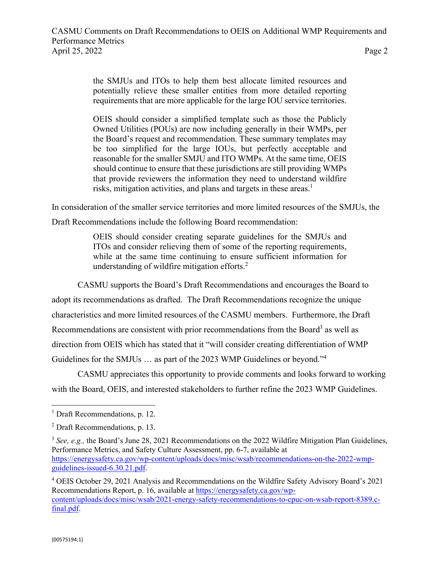the SMJUs and ITOs to help them best allocate limited resources and potentially relieve these smaller entities from more detailed reporting requirements that are more applicable for the large IOU service territories.

OEIS should consider a simplified template such as those the Publicly Owned Utilities (POUs) are now including generally in their WMPs, per the Board's request and recommendation. These summary templates may be too simplified for the large IOUs, but perfectly acceptable and reasonable for the smaller SMJU and ITO WMPs. At the same time, OEIS should continue to ensure that these jurisdictions are still providing WMPs that provide reviewers the information they need to understand wildfire risks, mitigation activities, and plans and targets in these areas.<sup>1</sup>

In consideration of the smaller service territories and more limited resources of the SMJUs, the

Draft Recommendations include the following Board recommendation:

OEIS should consider creating separate guidelines for the SMJUs and ITOs and consider relieving them of some of the reporting requirements, while at the same time continuing to ensure sufficient information for understanding of wildfire mitigation efforts. $2$ 

CASMU supports the Board's Draft Recommendations and encourages the Board to adopt its recommendations as drafted. The Draft Recommendations recognize the unique characteristics and more limited resources of the CASMU members. Furthermore, the Draft Recommendations are consistent with prior recommendations from the Board<sup>3</sup> as well as direction from OEIS which has stated that it "will consider creating differentiation of WMP Guidelines for the SMJUs ... as part of the 2023 WMP Guidelines or beyond."<sup>4</sup>

CASMU appreciates this opportunity to provide comments and looks forward to working with the Board, OEIS, and interested stakeholders to further refine the 2023 WMP Guidelines.

<sup>&</sup>lt;sup>1</sup> Draft Recommendations, p. 12.

<sup>&</sup>lt;sup>2</sup> Draft Recommendations, p. 13.

<sup>&</sup>lt;sup>3</sup> See, e.g., the Board's June 28, 2021 Recommendations on the 2022 Wildfire Mitigation Plan Guidelines, Performance Metrics, and Safety Culture Assessment, pp. 6-7, available at https://energysafety.ca.gov/wp-content/uploads/docs/misc/wsab/recommendations-on-the-2022-wmpguidelines-issued-6.30.21.pdf.

<sup>&</sup>lt;sup>4</sup> OEIS October 29, 2021 Analysis and Recommendations on the Wildfire Safety Advisory Board's 2021 Recommendations Report, p. 16, available at https://energysafety.ca.gov/wpcontent/uploads/docs/misc/wsab/2021-energy-safety-recommendations-to-cpuc-on-wsab-report-8389.cfinal.pdf.